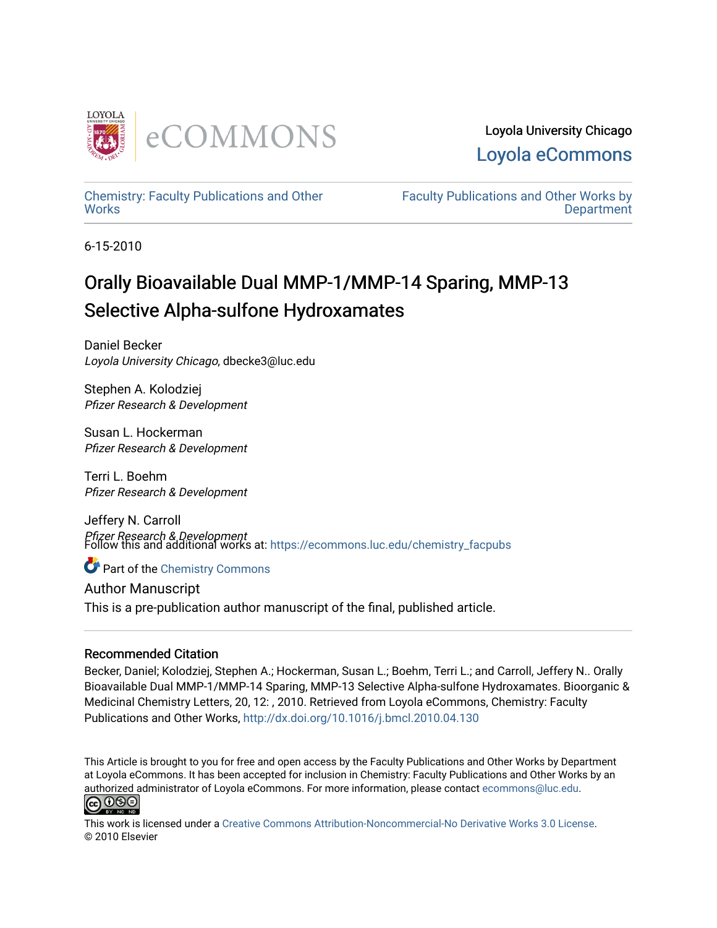

[Chemistry: Faculty Publications and Other](https://ecommons.luc.edu/chemistry_facpubs)  **Works** 

[Faculty Publications and Other Works by](https://ecommons.luc.edu/faculty)  **Department** 

6-15-2010

## Orally Bioavailable Dual MMP-1/MMP-14 Sparing, MMP-13 Selective Alpha-sulfone Hydroxamates

Daniel Becker Loyola University Chicago, dbecke3@luc.edu

Stephen A. Kolodziej Pfizer Research & Development

Susan L. Hockerman Pfizer Research & Development

Terri L. Boehm Pfizer Research & Development

Jeffery N. Carroll *Pfizer Research & Development*<br>Follow this and additional works at: https://ecommons.luc.edu/chemistry\_facpubs

**C** Part of the Chemistry Commons

Author Manuscript This is a pre-publication author manuscript of the final, published article.

## Recommended Citation

Becker, Daniel; Kolodziej, Stephen A.; Hockerman, Susan L.; Boehm, Terri L.; and Carroll, Jeffery N.. Orally Bioavailable Dual MMP-1/MMP-14 Sparing, MMP-13 Selective Alpha-sulfone Hydroxamates. Bioorganic & Medicinal Chemistry Letters, 20, 12: , 2010. Retrieved from Loyola eCommons, Chemistry: Faculty Publications and Other Works, <http://dx.doi.org/10.1016/j.bmcl.2010.04.130>

This Article is brought to you for free and open access by the Faculty Publications and Other Works by Department at Loyola eCommons. It has been accepted for inclusion in Chemistry: Faculty Publications and Other Works by an authorized administrator of Loyola eCommons. For more information, please contact [ecommons@luc.edu](mailto:ecommons@luc.edu).<br> $\boxed{\text{c}0\,\text{O}\,\textcircled{s}}$ 



This work is licensed under a [Creative Commons Attribution-Noncommercial-No Derivative Works 3.0 License.](https://creativecommons.org/licenses/by-nc-nd/3.0/) © 2010 Elsevier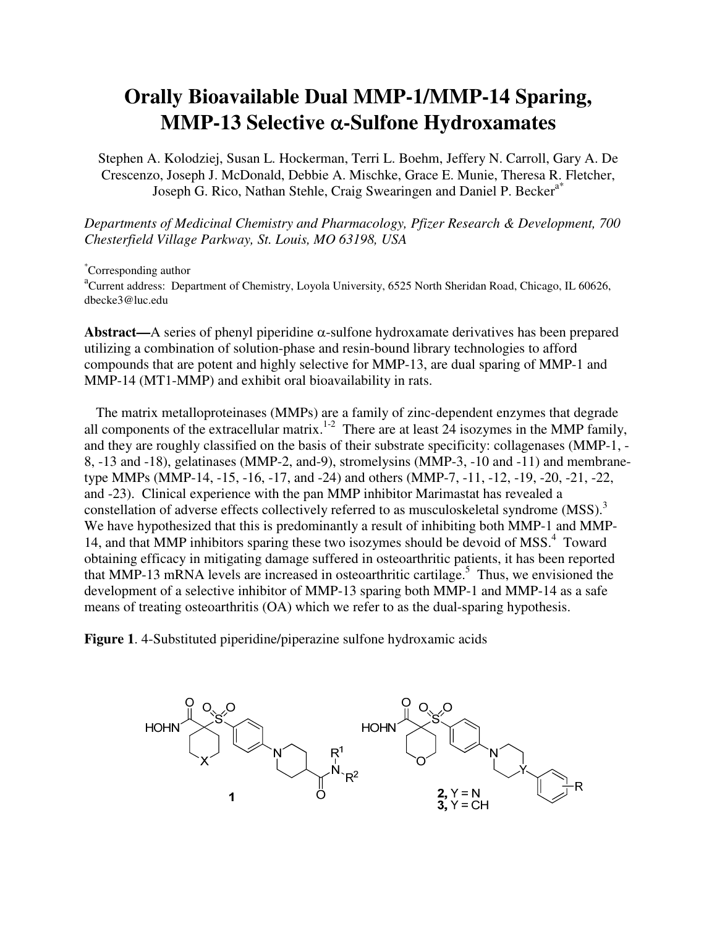## **Orally Bioavailable Dual MMP-1/MMP-14 Sparing, MMP-13 Selective** α**-Sulfone Hydroxamates**

Stephen A. Kolodziej, Susan L. Hockerman, Terri L. Boehm, Jeffery N. Carroll, Gary A. De Crescenzo, Joseph J. McDonald, Debbie A. Mischke, Grace E. Munie, Theresa R. Fletcher, Joseph G. Rico, Nathan Stehle, Craig Swearingen and Daniel P. Becker<sup>a\*</sup>

*Departments of Medicinal Chemistry and Pharmacology, Pfizer Research & Development, 700 Chesterfield Village Parkway, St. Louis, MO 63198, USA* 

\*Corresponding author

<sup>a</sup>Current address: Department of Chemistry, Loyola University, 6525 North Sheridan Road, Chicago, IL 60626, dbecke3@luc.edu

**Abstract—**A series of phenyl piperidine α-sulfone hydroxamate derivatives has been prepared utilizing a combination of solution-phase and resin-bound library technologies to afford compounds that are potent and highly selective for MMP-13, are dual sparing of MMP-1 and MMP-14 (MT1-MMP) and exhibit oral bioavailability in rats.

The matrix metalloproteinases (MMPs) are a family of zinc-dependent enzymes that degrade all components of the extracellular matrix.<sup>1-2</sup> There are at least 24 isozymes in the MMP family, and they are roughly classified on the basis of their substrate specificity: collagenases (MMP-1, - 8, -13 and -18), gelatinases (MMP-2, and-9), stromelysins (MMP-3, -10 and -11) and membranetype MMPs (MMP-14, -15, -16, -17, and -24) and others (MMP-7, -11, -12, -19, -20, -21, -22, and -23). Clinical experience with the pan MMP inhibitor Marimastat has revealed a constellation of adverse effects collectively referred to as musculoskeletal syndrome  $(MSS)^3$ We have hypothesized that this is predominantly a result of inhibiting both MMP-1 and MMP-14, and that MMP inhibitors sparing these two isozymes should be devoid of MSS.<sup>4</sup> Toward obtaining efficacy in mitigating damage suffered in osteoarthritic patients, it has been reported that MMP-13 mRNA levels are increased in osteoarthritic cartilage.<sup>5</sup> Thus, we envisioned the development of a selective inhibitor of MMP-13 sparing both MMP-1 and MMP-14 as a safe means of treating osteoarthritis (OA) which we refer to as the dual-sparing hypothesis.

**Figure 1**. 4-Substituted piperidine/piperazine sulfone hydroxamic acids

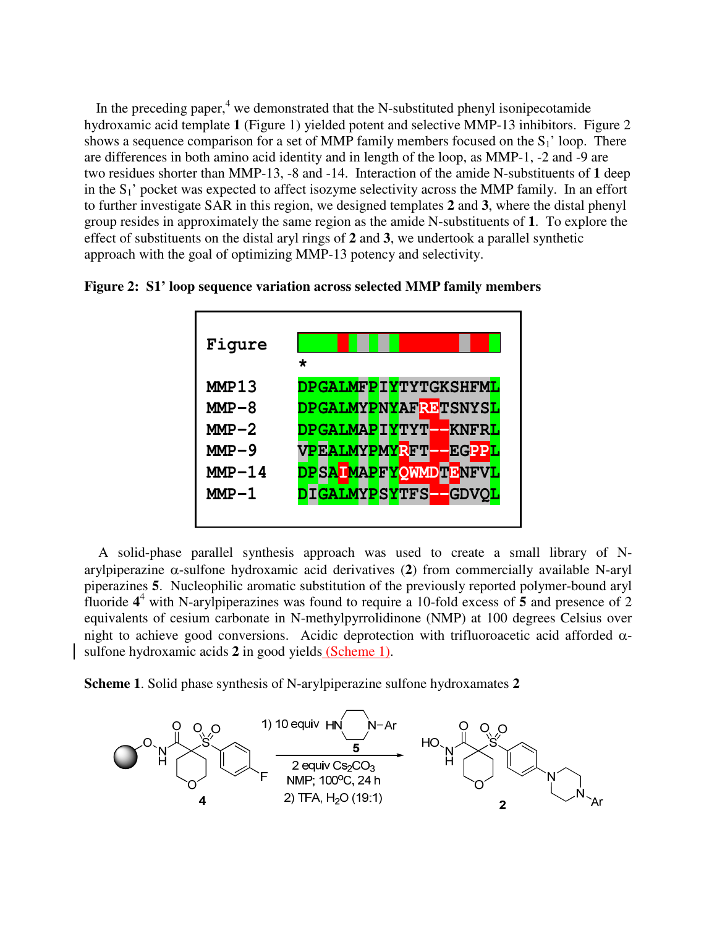In the preceding paper, $4 \text{ we demonstrated that the N-substituted phenyl isonipecotamide}$ hydroxamic acid template **1** (Figure 1) yielded potent and selective MMP-13 inhibitors. Figure 2 shows a sequence comparison for a set of MMP family members focused on the  $S_1$ ' loop. There are differences in both amino acid identity and in length of the loop, as MMP-1, -2 and -9 are two residues shorter than MMP-13, -8 and -14. Interaction of the amide N-substituents of **1** deep in the  $S_1$ ' pocket was expected to affect isozyme selectivity across the MMP family. In an effort to further investigate SAR in this region, we designed templates **2** and **3**, where the distal phenyl group resides in approximately the same region as the amide N-substituents of **1**. To explore the effect of substituents on the distal aryl rings of **2** and **3**, we undertook a parallel synthetic approach with the goal of optimizing MMP-13 potency and selectivity.

**Figure 2: S1' loop sequence variation across selected MMP family members**



A solid-phase parallel synthesis approach was used to create a small library of Narylpiperazine α-sulfone hydroxamic acid derivatives (**2**) from commercially available N-aryl piperazines **5**.Nucleophilic aromatic substitution of the previously reported polymer-bound aryl fluoride  $4^4$  with N-arylpiperazines was found to require a 10-fold excess of 5 and presence of 2 equivalents of cesium carbonate in N-methylpyrrolidinone (NMP) at 100 degrees Celsius over night to achieve good conversions. Acidic deprotection with trifluoroacetic acid afforded αsulfone hydroxamic acids **2** in good yields (Scheme 1).

**Scheme 1**. Solid phase synthesis of N-arylpiperazine sulfone hydroxamates **2**

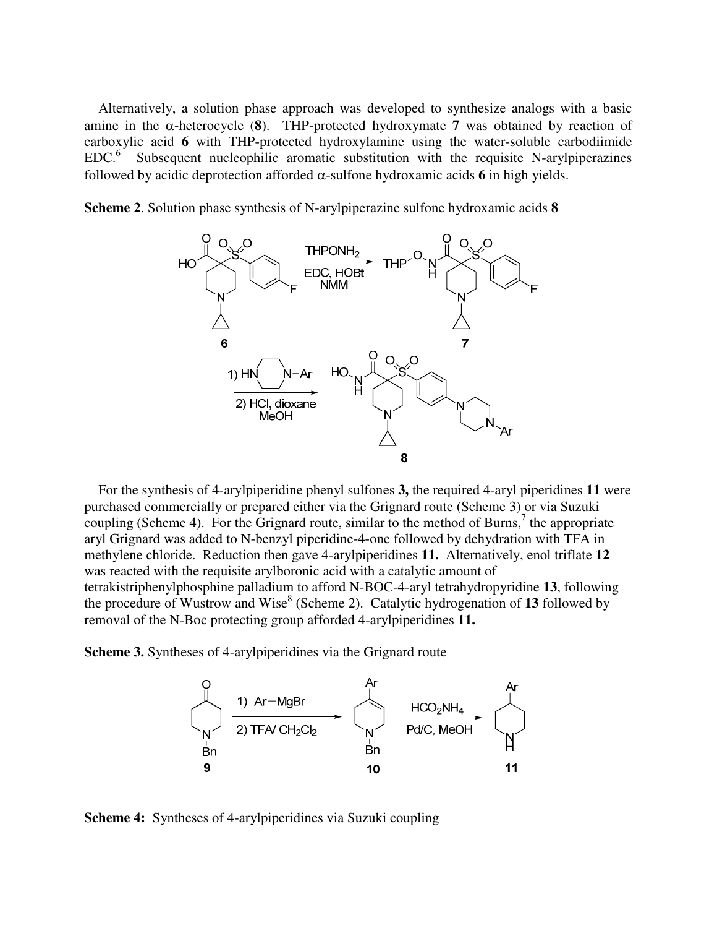Alternatively, a solution phase approach was developed to synthesize analogs with a basic amine in the  $\alpha$ -heterocycle (8). THP-protected hydroxymate 7 was obtained by reaction of carboxylic acid **6** with THP-protected hydroxylamine using the water-soluble carbodiimide  $EDC<sup>6</sup>$  Subsequent nucleophilic aromatic substitution with the requisite N-arylpiperazines followed by acidic deprotection afforded α-sulfone hydroxamic acids **6** in high yields.

**Scheme 2**. Solution phase synthesis of N-arylpiperazine sulfone hydroxamic acids **8**



For the synthesis of 4-arylpiperidine phenyl sulfones **3,** the required 4-aryl piperidines **11** were purchased commercially or prepared either via the Grignard route (Scheme 3) or via Suzuki coupling (Scheme 4). For the Grignard route, similar to the method of Burns,<sup>7</sup> the appropriate aryl Grignard was added to N-benzyl piperidine-4-one followed by dehydration with TFA in methylene chloride. Reduction then gave 4-arylpiperidines **11.** Alternatively, enol triflate **12**  was reacted with the requisite arylboronic acid with a catalytic amount of tetrakistriphenylphosphine palladium to afford N-BOC-4-aryl tetrahydropyridine **13**, following the procedure of Wustrow and Wise<sup>8</sup> (Scheme 2). Catalytic hydrogenation of 13 followed by removal of the N-Boc protecting group afforded 4-arylpiperidines **11.**

**Scheme 3.** Syntheses of 4-arylpiperidines via the Grignard route



**Scheme 4:** Syntheses of 4-arylpiperidines via Suzuki coupling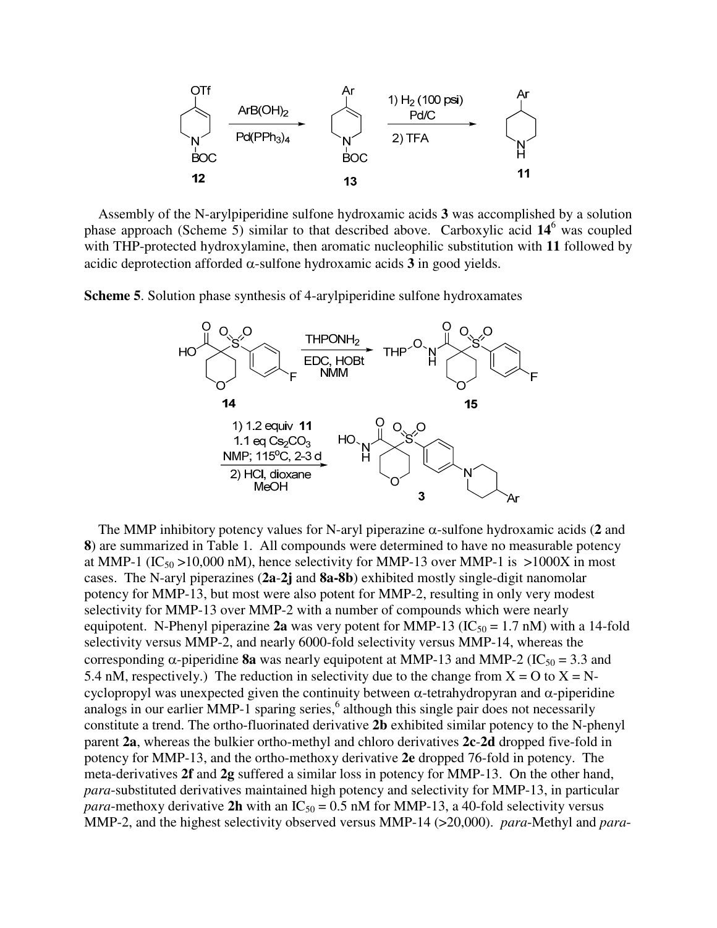

Assembly of the N-arylpiperidine sulfone hydroxamic acids **3** was accomplished by a solution phase approach (Scheme 5) similar to that described above. Carboxylic acid **14**<sup>6</sup> was coupled with THP-protected hydroxylamine, then aromatic nucleophilic substitution with **11** followed by acidic deprotection afforded α-sulfone hydroxamic acids **3** in good yields.

**Scheme 5**. Solution phase synthesis of 4-arylpiperidine sulfone hydroxamates



The MMP inhibitory potency values for N-aryl piperazine α-sulfone hydroxamic acids (**2** and **8**) are summarized in Table 1. All compounds were determined to have no measurable potency at MMP-1 (IC<sub>50</sub> >10,000 nM), hence selectivity for MMP-13 over MMP-1 is >1000X in most cases. The N-aryl piperazines (**2a**-**2j** and **8a-8b**) exhibited mostly single-digit nanomolar potency for MMP-13, but most were also potent for MMP-2, resulting in only very modest selectivity for MMP-13 over MMP-2 with a number of compounds which were nearly equipotent. N-Phenyl piperazine 2a was very potent for MMP-13 ( $IC_{50} = 1.7$  nM) with a 14-fold selectivity versus MMP-2, and nearly 6000-fold selectivity versus MMP-14, whereas the corresponding  $\alpha$ -piperidine **8a** was nearly equipotent at MMP-13 and MMP-2 (IC<sub>50</sub> = 3.3 and 5.4 nM, respectively.) The reduction in selectivity due to the change from  $X = O$  to  $X = N$ cyclopropyl was unexpected given the continuity between  $\alpha$ -tetrahydropyran and  $\alpha$ -piperidine analogs in our earlier MMP-1 sparing series,<sup>6</sup> although this single pair does not necessarily constitute a trend. The ortho-fluorinated derivative **2b** exhibited similar potency to the N-phenyl parent **2a**, whereas the bulkier ortho-methyl and chloro derivatives **2c**-**2d** dropped five-fold in potency for MMP-13, and the ortho-methoxy derivative **2e** dropped 76-fold in potency. The meta-derivatives **2f** and **2g** suffered a similar loss in potency for MMP-13. On the other hand, *para*-substituted derivatives maintained high potency and selectivity for MMP-13, in particular *para*-methoxy derivative 2h with an IC<sub>50</sub> = 0.5 nM for MMP-13, a 40-fold selectivity versus MMP-2, and the highest selectivity observed versus MMP-14 (>20,000). *para*-Methyl and *para*-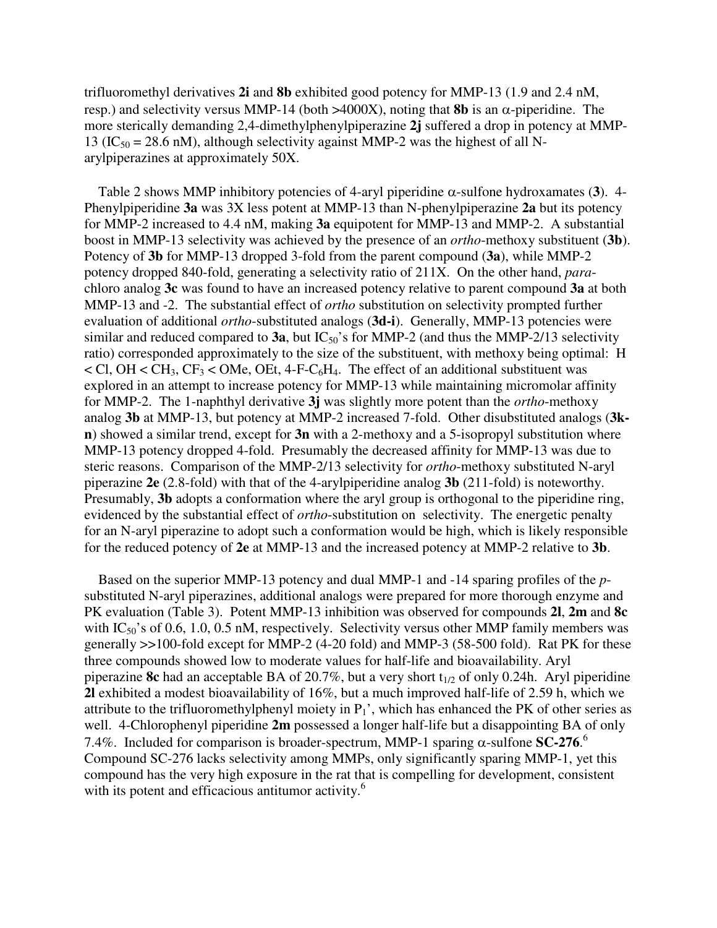trifluoromethyl derivatives **2i** and **8b** exhibited good potency for MMP-13 (1.9 and 2.4 nM, resp.) and selectivity versus MMP-14 (both  $>4000X$ ), noting that **8b** is an  $\alpha$ -piperidine. The more sterically demanding 2,4-dimethylphenylpiperazine **2j** suffered a drop in potency at MMP-13 (IC<sub>50</sub> = 28.6 nM), although selectivity against MMP-2 was the highest of all Narylpiperazines at approximately 50X.

Table 2 shows MMP inhibitory potencies of 4-aryl piperidine α-sulfone hydroxamates (**3**). 4- Phenylpiperidine **3a** was 3X less potent at MMP-13 than N-phenylpiperazine **2a** but its potency for MMP-2 increased to 4.4 nM, making **3a** equipotent for MMP-13 and MMP-2. A substantial boost in MMP-13 selectivity was achieved by the presence of an *ortho*-methoxy substituent (**3b**). Potency of **3b** for MMP-13 dropped 3-fold from the parent compound (**3a**), while MMP-2 potency dropped 840-fold, generating a selectivity ratio of 211X. On the other hand, *para*chloro analog **3c** was found to have an increased potency relative to parent compound **3a** at both MMP-13 and -2. The substantial effect of *ortho* substitution on selectivity prompted further evaluation of additional *ortho*-substituted analogs (**3d-i**). Generally, MMP-13 potencies were similar and reduced compared to  $3a$ , but  $IC_{50}$ 's for MMP-2 (and thus the MMP-2/13 selectivity ratio) corresponded approximately to the size of the substituent, with methoxy being optimal: H  $\langle$  Cl, OH  $\langle$  CH<sub>3</sub>, CF<sub>3</sub>  $\langle$  OMe, OEt, 4-F-C<sub>6</sub>H<sub>4</sub>. The effect of an additional substituent was explored in an attempt to increase potency for MMP-13 while maintaining micromolar affinity for MMP-2. The 1-naphthyl derivative **3j** was slightly more potent than the *ortho*-methoxy analog **3b** at MMP-13, but potency at MMP-2 increased 7-fold. Other disubstituted analogs (**3kn**) showed a similar trend, except for **3n** with a 2-methoxy and a 5-isopropyl substitution where MMP-13 potency dropped 4-fold. Presumably the decreased affinity for MMP-13 was due to steric reasons. Comparison of the MMP-2/13 selectivity for *ortho*-methoxy substituted N-aryl piperazine **2e** (2.8-fold) with that of the 4-arylpiperidine analog **3b** (211-fold) is noteworthy. Presumably, **3b** adopts a conformation where the aryl group is orthogonal to the piperidine ring, evidenced by the substantial effect of *ortho*-substitution on selectivity. The energetic penalty for an N-aryl piperazine to adopt such a conformation would be high, which is likely responsible for the reduced potency of **2e** at MMP-13 and the increased potency at MMP-2 relative to **3b**.

Based on the superior MMP-13 potency and dual MMP-1 and -14 sparing profiles of the *p*substituted N-aryl piperazines, additional analogs were prepared for more thorough enzyme and PK evaluation (Table 3). Potent MMP-13 inhibition was observed for compounds **2l**, **2m** and **8c** with  $IC_{50}$ 's of 0.6, 1.0, 0.5 nM, respectively. Selectivity versus other MMP family members was generally >>100-fold except for MMP-2 (4-20 fold) and MMP-3 (58-500 fold). Rat PK for these three compounds showed low to moderate values for half-life and bioavailability. Aryl piperazine **8c** had an acceptable BA of 20.7%, but a very short  $t_{1/2}$  of only 0.24h. Aryl piperidine **2l** exhibited a modest bioavailability of 16%, but a much improved half-life of 2.59 h, which we attribute to the trifluoromethylphenyl moiety in  $P_1$ ', which has enhanced the PK of other series as well. 4-Chlorophenyl piperidine **2m** possessed a longer half-life but a disappointing BA of only 7.4%. Included for comparison is broader-spectrum, MMP-1 sparing α-sulfone **SC-276**. 6 Compound SC-276 lacks selectivity among MMPs, only significantly sparing MMP-1, yet this compound has the very high exposure in the rat that is compelling for development, consistent with its potent and efficacious antitumor activity.<sup>6</sup>